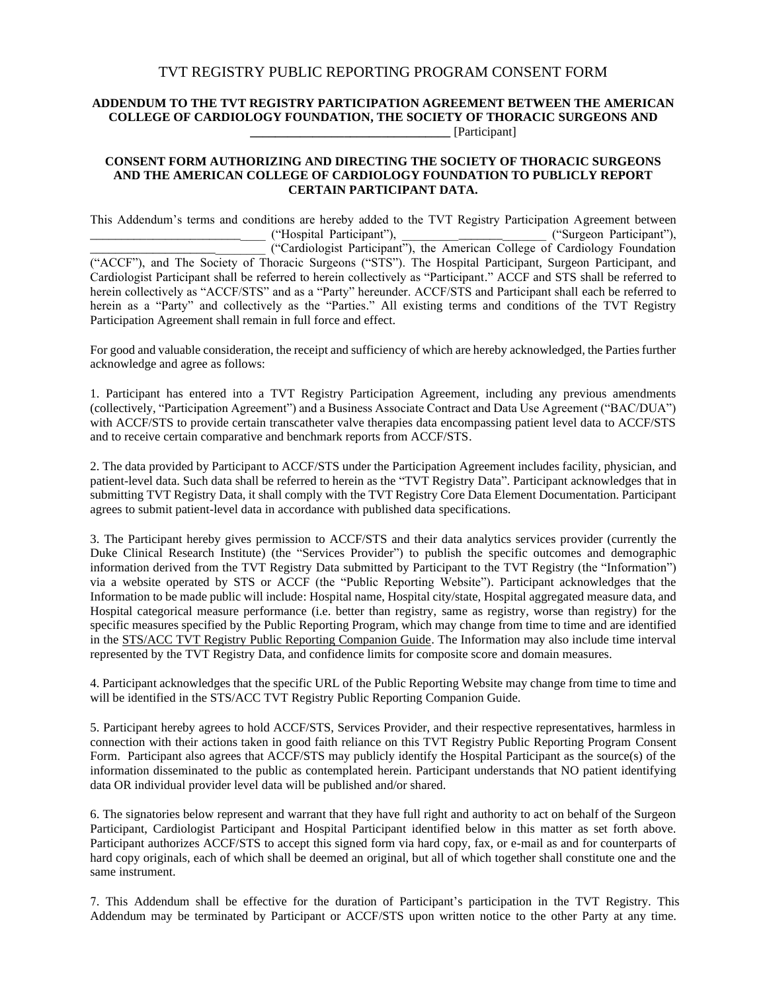## TVT REGISTRY PUBLIC REPORTING PROGRAM CONSENT FORM

## **ADDENDUM TO THE TVT REGISTRY PARTICIPATION AGREEMENT BETWEEN THE AMERICAN COLLEGE OF CARDIOLOGY FOUNDATION, THE SOCIETY OF THORACIC SURGEONS AND**

**\_\_\_\_\_\_\_\_\_\_\_\_\_\_\_\_\_\_\_\_\_\_\_\_\_\_\_\_\_\_\_\_** [Participant]

## **CONSENT FORM AUTHORIZING AND DIRECTING THE SOCIETY OF THORACIC SURGEONS AND THE AMERICAN COLLEGE OF CARDIOLOGY FOUNDATION TO PUBLICLY REPORT CERTAIN PARTICIPANT DATA.**

This Addendum's terms and conditions are hereby added to the TVT Registry Participation Agreement between \_\_\_\_\_\_\_\_\_\_\_\_\_\_\_\_\_\_\_\_\_\_\_\_\_\_\_\_ ("Hospital Participant"), \_\_\_\_\_\_\_\_\_\_\_\_\_\_\_\_\_\_\_\_\_\_\_ ("Surgeon Participant"), \_\_\_\_\_\_\_\_\_\_\_\_\_\_\_\_\_\_\_\_\_\_\_\_\_\_\_\_ ("Cardiologist Participant"), the American College of Cardiology Foundation ("ACCF"), and The Society of Thoracic Surgeons ("STS"). The Hospital Participant, Surgeon Participant, and Cardiologist Participant shall be referred to herein collectively as "Participant." ACCF and STS shall be referred to herein collectively as "ACCF/STS" and as a "Party" hereunder. ACCF/STS and Participant shall each be referred to herein as a "Party" and collectively as the "Parties." All existing terms and conditions of the TVT Registry Participation Agreement shall remain in full force and effect.

For good and valuable consideration, the receipt and sufficiency of which are hereby acknowledged, the Parties further acknowledge and agree as follows:

1. Participant has entered into a TVT Registry Participation Agreement, including any previous amendments (collectively, "Participation Agreement") and a Business Associate Contract and Data Use Agreement ("BAC/DUA") with ACCF/STS to provide certain transcatheter valve therapies data encompassing patient level data to ACCF/STS and to receive certain comparative and benchmark reports from ACCF/STS.

2. The data provided by Participant to ACCF/STS under the Participation Agreement includes facility, physician, and patient-level data. Such data shall be referred to herein as the "TVT Registry Data". Participant acknowledges that in submitting TVT Registry Data, it shall comply with the TVT Registry Core Data Element Documentation. Participant agrees to submit patient-level data in accordance with published data specifications.

3. The Participant hereby gives permission to ACCF/STS and their data analytics services provider (currently the Duke Clinical Research Institute) (the "Services Provider") to publish the specific outcomes and demographic information derived from the TVT Registry Data submitted by Participant to the TVT Registry (the "Information") via a website operated by STS or ACCF (the "Public Reporting Website"). Participant acknowledges that the Information to be made public will include: Hospital name, Hospital city/state, Hospital aggregated measure data, and Hospital categorical measure performance (i.e. better than registry, same as registry, worse than registry) for the specific measures specified by the Public Reporting Program, which may change from time to time and are identified in the [STS/ACC TVT Registry Public Reporting Companion Guide.](https://www.ncdr.com/WebNCDR/docs/default-source/tvt-user-guide-documents/sts_acc_tvt_registry_public_reporting_companion_guide_nov_2_2020.pdf?sfvrsn=6636d49f_6) The Information may also include time interval represented by the TVT Registry Data, and confidence limits for composite score and domain measures.

4. Participant acknowledges that the specific URL of the Public Reporting Website may change from time to time and will be identified in the STS/ACC TVT Registry Public Reporting Companion Guide.

5. Participant hereby agrees to hold ACCF/STS, Services Provider, and their respective representatives, harmless in connection with their actions taken in good faith reliance on this TVT Registry Public Reporting Program Consent Form. Participant also agrees that ACCF/STS may publicly identify the Hospital Participant as the source(s) of the information disseminated to the public as contemplated herein. Participant understands that NO patient identifying data OR individual provider level data will be published and/or shared.

6. The signatories below represent and warrant that they have full right and authority to act on behalf of the Surgeon Participant, Cardiologist Participant and Hospital Participant identified below in this matter as set forth above. Participant authorizes ACCF/STS to accept this signed form via hard copy, fax, or e-mail as and for counterparts of hard copy originals, each of which shall be deemed an original, but all of which together shall constitute one and the same instrument.

7. This Addendum shall be effective for the duration of Participant's participation in the TVT Registry. This Addendum may be terminated by Participant or ACCF/STS upon written notice to the other Party at any time.